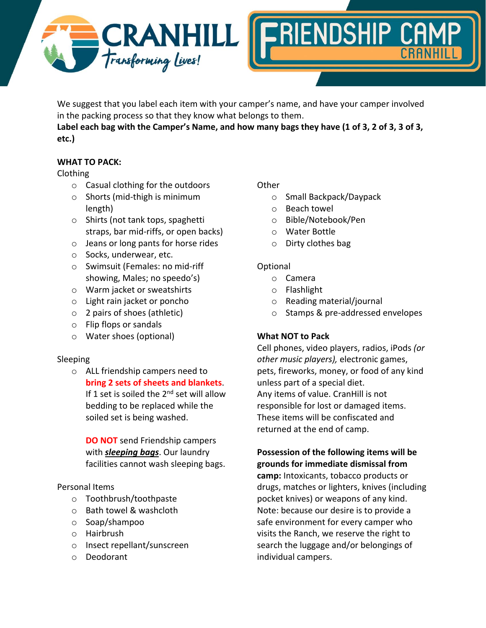



We suggest that you label each item with your camper's name, and have your camper involved in the packing process so that they know what belongs to them.

**Label each bag with the Camper's Name, and how many bags they have (1 of 3, 2 of 3, 3 of 3, etc.)**

# **WHAT TO PACK:**

## Clothing

- o Casual clothing for the outdoors
- o Shorts (mid-thigh is minimum length)
- o Shirts (not tank tops, spaghetti straps, bar mid-riffs, or open backs)
- o Jeans or long pants for horse rides
- o Socks, underwear, etc.
- o Swimsuit (Females: no mid-riff showing, Males; no speedo's)
- o Warm jacket or sweatshirts
- o Light rain jacket or poncho
- o 2 pairs of shoes (athletic)
- o Flip flops or sandals
- o Water shoes (optional)

## Sleeping

o ALL friendship campers need to **bring 2 sets of sheets and blankets**. If 1 set is soiled the  $2^{nd}$  set will allow bedding to be replaced while the soiled set is being washed.

**DO NOT** send Friendship campers with *sleeping bags*. Our laundry facilities cannot wash sleeping bags.

## Personal Items

- o Toothbrush/toothpaste
- o Bath towel & washcloth
- o Soap/shampoo
- o Hairbrush
- o Insect repellant/sunscreen
- o Deodorant

## **Other**

- o Small Backpack/Daypack
- o Beach towel
- o Bible/Notebook/Pen
- o Water Bottle
- o Dirty clothes bag

## Optional

- o Camera
- o Flashlight
- o Reading material/journal
- o Stamps & pre-addressed envelopes

# **What NOT to Pack**

Cell phones, video players, radios, iPods *(or other music players),* electronic games, pets, fireworks, money, or food of any kind unless part of a special diet. Any items of value. CranHill is not responsible for lost or damaged items. These items will be confiscated and returned at the end of camp.

# **Possession of the following items will be grounds for immediate dismissal from**

**camp:** Intoxicants, tobacco products or drugs, matches or lighters, knives (including pocket knives) or weapons of any kind. Note: because our desire is to provide a safe environment for every camper who visits the Ranch, we reserve the right to search the luggage and/or belongings of individual campers.